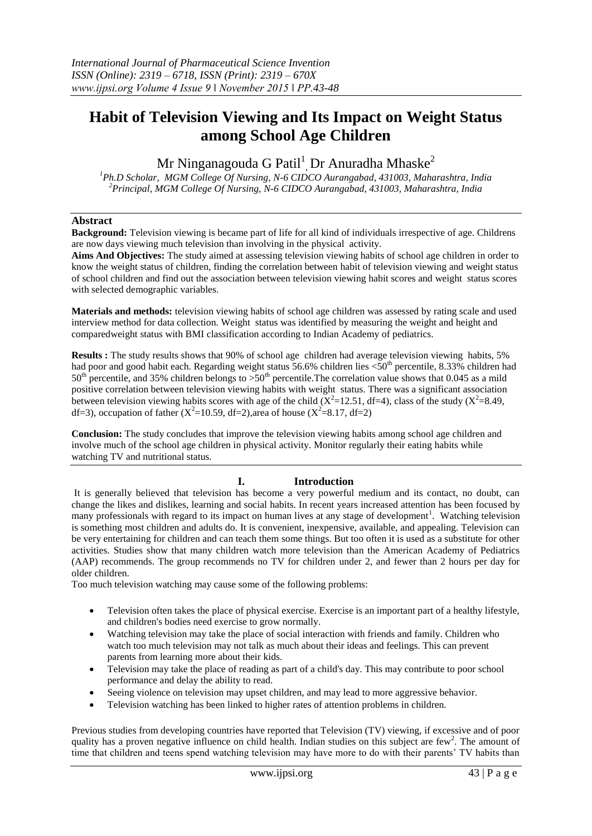# **Habit of Television Viewing and Its Impact on Weight Status among School Age Children**

Mr Ninganagouda G Patil $^1$ <sub>,</sub> Dr Anuradha Mhaske $^2$ 

*<sup>1</sup>Ph.D Scholar, MGM College Of Nursing, N-6 CIDCO Aurangabad, 431003, Maharashtra, India <sup>2</sup>Principal, MGM College Of Nursing, N-6 CIDCO Aurangabad, 431003, Maharashtra, India*

## **Abstract**

**Background:** Television viewing is became part of life for all kind of individuals irrespective of age. Childrens are now days viewing much television than involving in the physical activity.

**Aims And Objectives:** The study aimed at assessing television viewing habits of school age children in order to know the weight status of children, finding the correlation between habit of television viewing and weight status of school children and find out the association between television viewing habit scores and weight status scores with selected demographic variables.

**Materials and methods:** television viewing habits of school age children was assessed by rating scale and used interview method for data collection. Weight status was identified by measuring the weight and height and comparedweight status with BMI classification according to Indian Academy of pediatrics.

**Results :** The study results shows that 90% of school age children had average television viewing habits, 5% had poor and good habit each. Regarding weight status 56.6% children lies <50<sup>th</sup> percentile, 8.33% children had  $50<sup>th</sup>$  percentile, and 35% children belongs to  $> 50<sup>th</sup>$  percentile. The correlation value shows that 0.045 as a mild positive correlation between television viewing habits with weight status. There was a significant association between television viewing habits scores with age of the child  $(X^2=12.51, df=4)$ , class of the study  $(X^2=8.49,$ df=3), occupation of father ( $X^2$ =10.59, df=2), area of house ( $X^2$ =8.17, df=2)

**Conclusion:** The study concludes that improve the television viewing habits among school age children and involve much of the school age children in physical activity. Monitor regularly their eating habits while watching TV and nutritional status.

## **I. Introduction**

It is generally believed that television has become a very powerful medium and its contact, no doubt, can change the likes and dislikes, learning and social habits. In recent years increased attention has been focused by many professionals with regard to its impact on human lives at any stage of development<sup>1</sup>. Watching television is something most children and adults do. It is convenient, inexpensive, available, and appealing. Television can be very entertaining for children and can teach them some things. But too often it is used as a substitute for other activities. Studies show that many children watch more television than the American Academy of Pediatrics (AAP) recommends. The group recommends no TV for children under 2, and fewer than 2 hours per day for older children.

Too much television watching may cause some of the following problems:

- Television often takes the place of physical exercise. Exercise is an important part of a healthy lifestyle, and children's bodies need exercise to grow normally.
- Watching television may take the place of social interaction with friends and family. Children who watch too much television may not talk as much about their ideas and feelings. This can prevent parents from learning more about their kids.
- Television may take the place of reading as part of a child's day. This may contribute to poor school performance and delay the ability to read.
- Seeing violence on television may upset children, and may lead to more aggressive behavior.
- Television watching has been linked to higher rates of attention problems in children.

Previous studies from developing countries have reported that Television (TV) viewing, if excessive and of poor quality has a proven negative influence on child health. Indian studies on this subject are few<sup>2</sup>. The amount of time that children and teens spend watching television may have more to do with their parents' TV habits than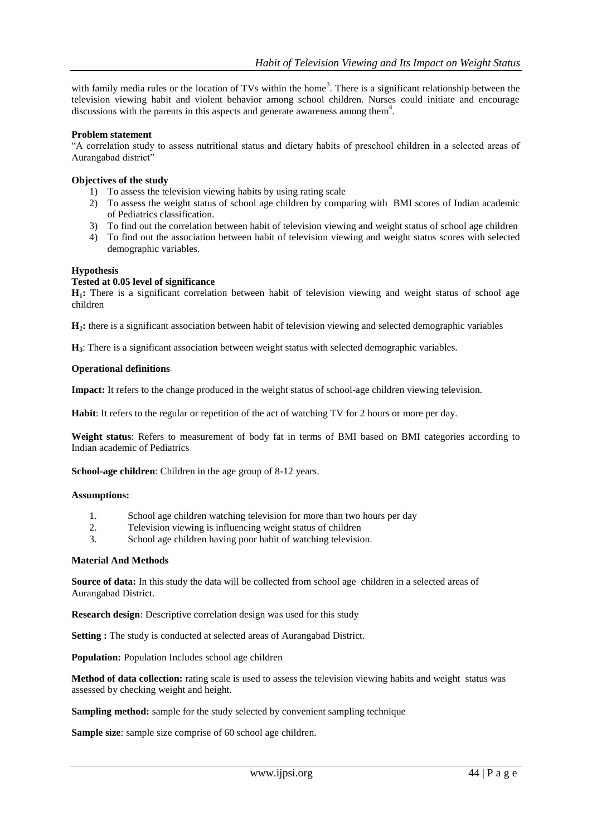with family media rules or the location of TVs within the home<sup>3</sup>. There is a significant relationship between the television viewing habit and violent behavior among school children. Nurses could initiate and encourage discussions with the parents in this aspects and generate awareness among them $4$ .

## **Problem statement**

"A correlation study to assess nutritional status and dietary habits of preschool children in a selected areas of Aurangabad district"

## **Objectives of the study**

- 1) To assess the television viewing habits by using rating scale
- 2) To assess the weight status of school age children by comparing with BMI scores of Indian academic of Pediatrics classification.
- 3) To find out the correlation between habit of television viewing and weight status of school age children
- 4) To find out the association between habit of television viewing and weight status scores with selected demographic variables.

## **Hypothesis**

## **Tested at 0.05 level of significance**

**H1:** There is a significant correlation between habit of television viewing and weight status of school age children

**H2:** there is a significant association between habit of television viewing and selected demographic variables

**H3**: There is a significant association between weight status with selected demographic variables.

#### **Operational definitions**

**Impact:** It refers to the change produced in the weight status of school-age children viewing television.

**Habit**: It refers to the regular or repetition of the act of watching TV for 2 hours or more per day.

**Weight status**: Refers to measurement of body fat in terms of BMI based on BMI categories according to Indian academic of Pediatrics

**School-age children**: Children in the age group of 8-12 years.

#### **Assumptions:**

- 1. School age children watching television for more than two hours per day
- 2. Television viewing is influencing weight status of children
- 3. School age children having poor habit of watching television.

#### **Material And Methods**

**Source of data:** In this study the data will be collected from school age children in a selected areas of Aurangabad District.

**Research design**: Descriptive correlation design was used for this study

**Setting :** The study is conducted at selected areas of Aurangabad District.

**Population:** Population Includes school age children

**Method of data collection:** rating scale is used to assess the television viewing habits and weight status was assessed by checking weight and height.

**Sampling method:** sample for the study selected by convenient sampling technique

**Sample size**: sample size comprise of 60 school age children.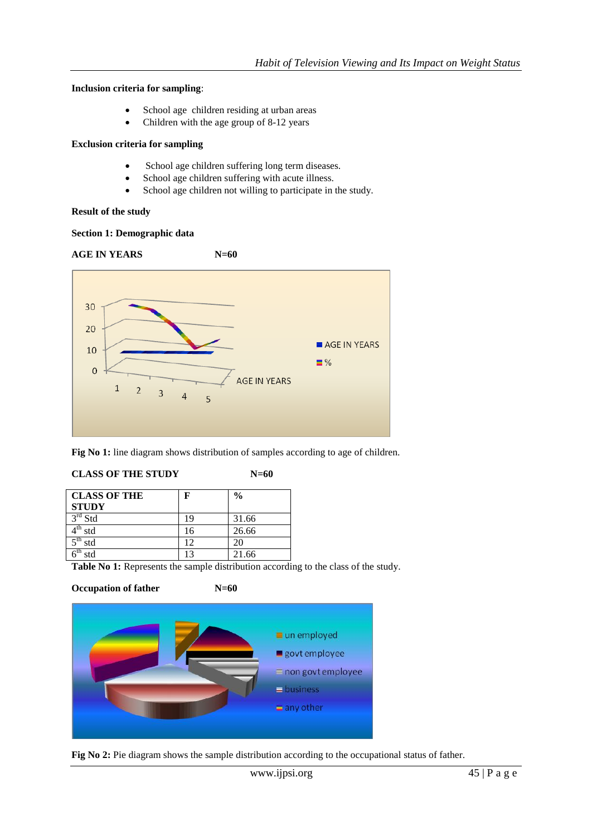## **Inclusion criteria for sampling**:

- School age children residing at urban areas
- Children with the age group of 8-12 years

## **Exclusion criteria for sampling**

- School age children suffering long term diseases.
- School age children suffering with acute illness.
- School age children not willing to participate in the study.

## **Result of the study**

## **Section 1: Demographic data**





**Fig No 1:** line diagram shows distribution of samples according to age of children.

## **CLASS OF THE STUDY**

| ×<br>۰.<br>×<br>۰, |
|--------------------|
|--------------------|

| <b>CLASS OF THE</b> | F  | $\frac{0}{0}$ |
|---------------------|----|---------------|
| <b>STUDY</b>        |    |               |
| $3rd$ Std           | 19 | 31.66         |
| std                 | 16 | 26.66         |
| $-th$<br>std        | 12 | 20            |
| std                 |    | 21.66         |

**Table No 1:** Represents the sample distribution according to the class of the study.

**Occupation of father N=60**



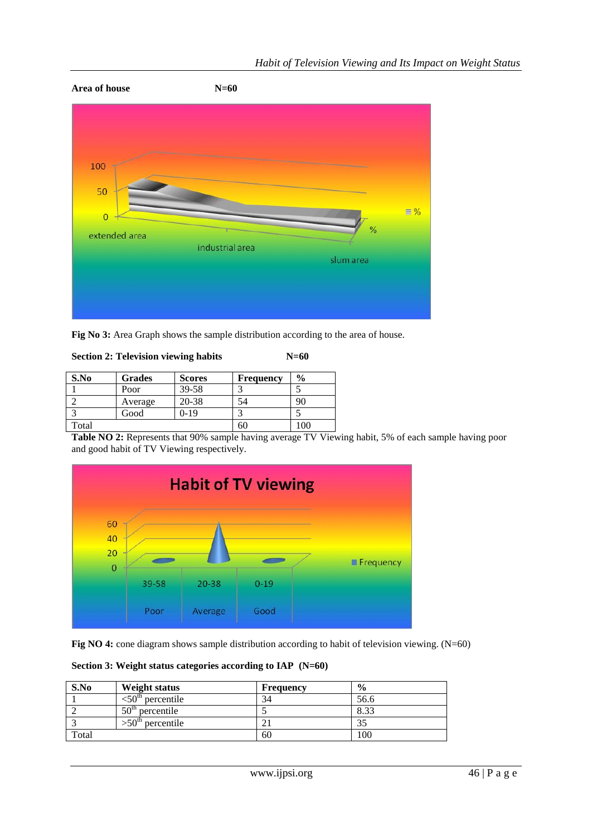

**Fig No 3:** Area Graph shows the sample distribution according to the area of house.

| <b>Section 2: Television viewing habits</b> | $N=60$ |
|---------------------------------------------|--------|
|---------------------------------------------|--------|

| S.No  | <b>Grades</b> | <b>Scores</b> | <b>Frequency</b> | $\frac{0}{0}$ |
|-------|---------------|---------------|------------------|---------------|
|       | Poor          | $39 - 58$     |                  |               |
|       | Average       | 20-38         |                  | 90            |
|       | Good          | 0-19          |                  |               |
| Total |               |               | оU               | 100           |

**Table NO 2:** Represents that 90% sample having average TV Viewing habit, 5% of each sample having poor and good habit of TV Viewing respectively.



Fig NO 4: cone diagram shows sample distribution according to habit of television viewing. (N=60)

**Section 3: Weight status categories according to IAP (N=60)**

| S.No  | Weight status                      | <b>Frequency</b> | $\frac{0}{0}$ |
|-------|------------------------------------|------------------|---------------|
|       | percentile                         | 34               | 56.6          |
|       | 50 <sup>th</sup><br>percentile     |                  | 8.33          |
|       | $>$ 50 <sup>th</sup><br>percentile |                  |               |
| Total |                                    | 60               | 100           |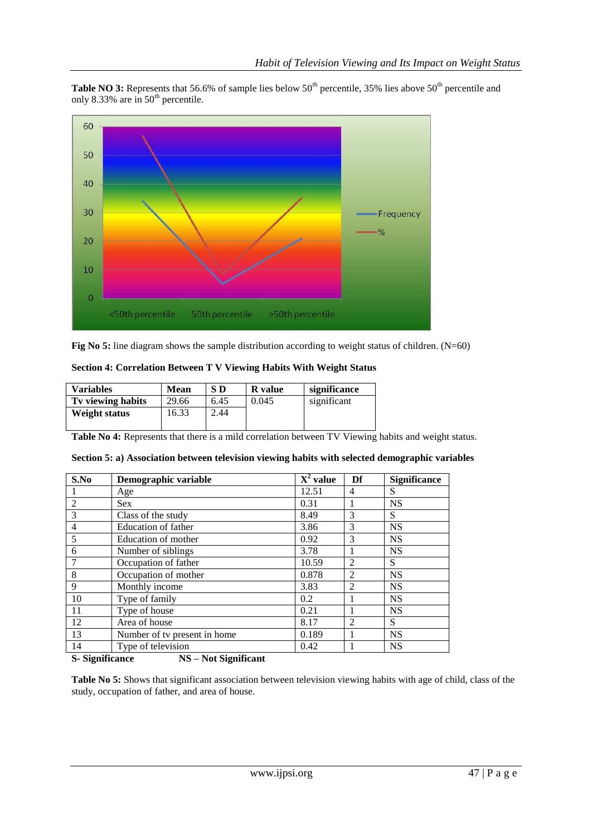**Table NO 3:** Represents that 56.6% of sample lies below 50<sup>th</sup> percentile, 35% lies above 50<sup>th</sup> percentile and only 8.33% are in  $50<sup>th</sup>$  percentile.



**Fig No 5:** line diagram shows the sample distribution according to weight status of children. (N=60)

| <b>Section 4: Correlation Between T V Viewing Habits With Weight Status</b> |  |  |
|-----------------------------------------------------------------------------|--|--|
|-----------------------------------------------------------------------------|--|--|

| <b>Variables</b>  | <b>Mean</b> | S D  | <b>R</b> value | significance |
|-------------------|-------------|------|----------------|--------------|
| Tv viewing habits | 29.66       | 6.45 | 0.045          | significant  |
| Weight status     | 16.33       | 2.44 |                |              |

**Table No 4:** Represents that there is a mild correlation between TV Viewing habits and weight status.

|  | Section 5: a) Association between television viewing habits with selected demographic variables |
|--|-------------------------------------------------------------------------------------------------|
|  |                                                                                                 |

| S.No           | Demographic variable         | $X^2$ value | Df             | Significance |
|----------------|------------------------------|-------------|----------------|--------------|
|                | Age                          | 12.51       | 4              | S            |
| 2              | <b>Sex</b>                   | 0.31        | 1              | <b>NS</b>    |
| 3              | Class of the study           | 8.49        | 3              | S            |
| $\overline{4}$ | Education of father          | 3.86        | $\mathcal{F}$  | <b>NS</b>    |
| 5              | Education of mother          | 0.92        | 3              | <b>NS</b>    |
| 6              | Number of siblings           | 3.78        |                | <b>NS</b>    |
|                | Occupation of father         | 10.59       | $\overline{2}$ | S            |
| 8              | Occupation of mother         | 0.878       | $\mathfrak{D}$ | <b>NS</b>    |
| 9              | Monthly income               | 3.83        | 2              | <b>NS</b>    |
| 10             | Type of family               | 0.2         |                | <b>NS</b>    |
| 11             | Type of house                | 0.21        |                | <b>NS</b>    |
| 12             | Area of house                | 8.17        | $\overline{2}$ | S            |
| 13             | Number of tv present in home | 0.189       |                | <b>NS</b>    |
| 14             | Type of television           | 0.42        |                | <b>NS</b>    |

**S- Significance NS – Not Significant**

**Table No 5:** Shows that significant association between television viewing habits with age of child, class of the study, occupation of father, and area of house.